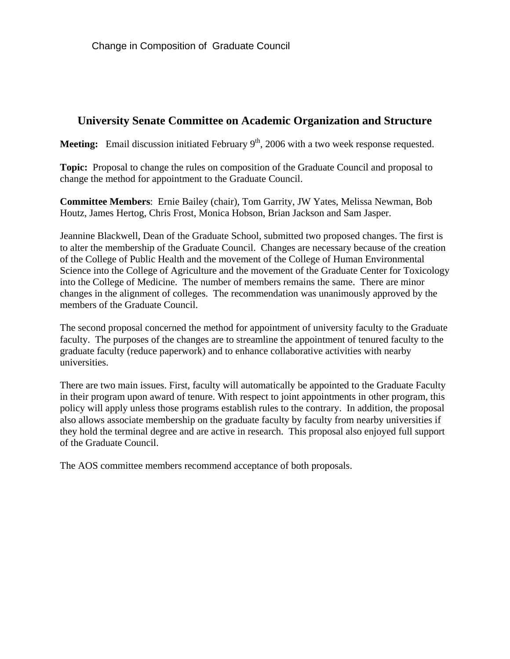# **University Senate Committee on Academic Organization and Structure**

**Meeting:** Email discussion initiated February  $9<sup>th</sup>$ , 2006 with a two week response requested.

**Topic:** Proposal to change the rules on composition of the Graduate Council and proposal to change the method for appointment to the Graduate Council.

**Committee Members**: Ernie Bailey (chair), Tom Garrity, JW Yates, Melissa Newman, Bob Houtz, James Hertog, Chris Frost, Monica Hobson, Brian Jackson and Sam Jasper.

Jeannine Blackwell, Dean of the Graduate School, submitted two proposed changes. The first is to alter the membership of the Graduate Council. Changes are necessary because of the creation of the College of Public Health and the movement of the College of Human Environmental Science into the College of Agriculture and the movement of the Graduate Center for Toxicology into the College of Medicine. The number of members remains the same. There are minor changes in the alignment of colleges. The recommendation was unanimously approved by the members of the Graduate Council.

The second proposal concerned the method for appointment of university faculty to the Graduate faculty. The purposes of the changes are to streamline the appointment of tenured faculty to the graduate faculty (reduce paperwork) and to enhance collaborative activities with nearby universities.

There are two main issues. First, faculty will automatically be appointed to the Graduate Faculty in their program upon award of tenure. With respect to joint appointments in other program, this policy will apply unless those programs establish rules to the contrary. In addition, the proposal also allows associate membership on the graduate faculty by faculty from nearby universities if they hold the terminal degree and are active in research. This proposal also enjoyed full support of the Graduate Council.

The AOS committee members recommend acceptance of both proposals.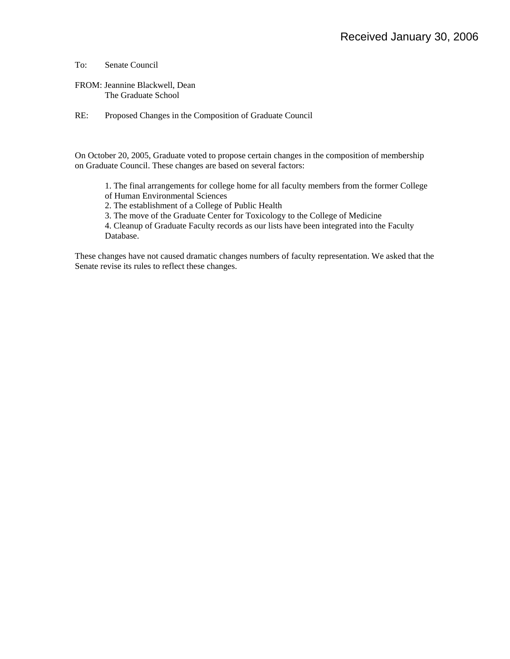To: Senate Council

FROM: Jeannine Blackwell, Dean The Graduate School

RE: Proposed Changes in the Composition of Graduate Council

On October 20, 2005, Graduate voted to propose certain changes in the composition of membership on Graduate Council. These changes are based on several factors:

1. The final arrangements for college home for all faculty members from the former College

of Human Environmental Sciences

2. The establishment of a College of Public Health

3. The move of the Graduate Center for Toxicology to the College of Medicine

4. Cleanup of Graduate Faculty records as our lists have been integrated into the Faculty Database.

These changes have not caused dramatic changes numbers of faculty representation. We asked that the Senate revise its rules to reflect these changes.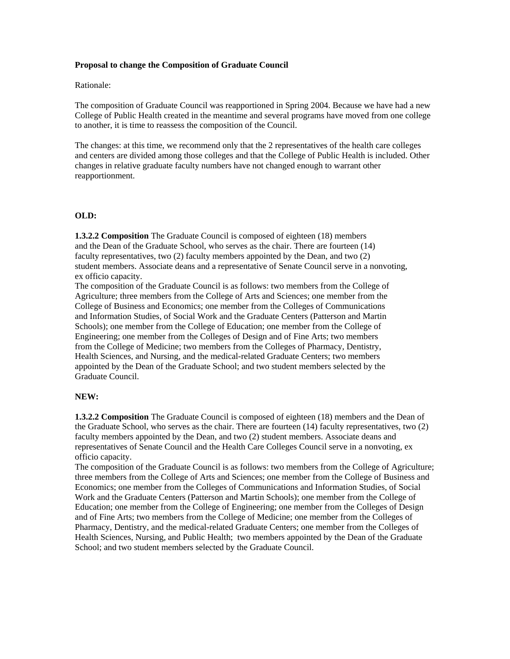## **Proposal to change the Composition of Graduate Council**

#### Rationale:

The composition of Graduate Council was reapportioned in Spring 2004. Because we have had a new College of Public Health created in the meantime and several programs have moved from one college to another, it is time to reassess the composition of the Council.

The changes: at this time, we recommend only that the 2 representatives of the health care colleges and centers are divided among those colleges and that the College of Public Health is included. Other changes in relative graduate faculty numbers have not changed enough to warrant other reapportionment.

## **OLD:**

**1.3.2.2 Composition** The Graduate Council is composed of eighteen (18) members and the Dean of the Graduate School, who serves as the chair. There are fourteen (14) faculty representatives, two (2) faculty members appointed by the Dean, and two (2) student members. Associate deans and a representative of Senate Council serve in a nonvoting, ex officio capacity.

The composition of the Graduate Council is as follows: two members from the College of Agriculture; three members from the College of Arts and Sciences; one member from the College of Business and Economics; one member from the Colleges of Communications and Information Studies, of Social Work and the Graduate Centers (Patterson and Martin Schools); one member from the College of Education; one member from the College of Engineering; one member from the Colleges of Design and of Fine Arts; two members from the College of Medicine; two members from the Colleges of Pharmacy, Dentistry, Health Sciences, and Nursing, and the medical-related Graduate Centers; two members appointed by the Dean of the Graduate School; and two student members selected by the Graduate Council.

## **NEW:**

**1.3.2.2 Composition** The Graduate Council is composed of eighteen (18) members and the Dean of the Graduate School, who serves as the chair. There are fourteen (14) faculty representatives, two (2) faculty members appointed by the Dean, and two (2) student members. Associate deans and representatives of Senate Council and the Health Care Colleges Council serve in a nonvoting, ex officio capacity.

The composition of the Graduate Council is as follows: two members from the College of Agriculture; three members from the College of Arts and Sciences; one member from the College of Business and Economics; one member from the Colleges of Communications and Information Studies, of Social Work and the Graduate Centers (Patterson and Martin Schools); one member from the College of Education; one member from the College of Engineering; one member from the Colleges of Design and of Fine Arts; two members from the College of Medicine; one member from the Colleges of Pharmacy, Dentistry, and the medical-related Graduate Centers; one member from the Colleges of Health Sciences, Nursing, and Public Health; two members appointed by the Dean of the Graduate School; and two student members selected by the Graduate Council.